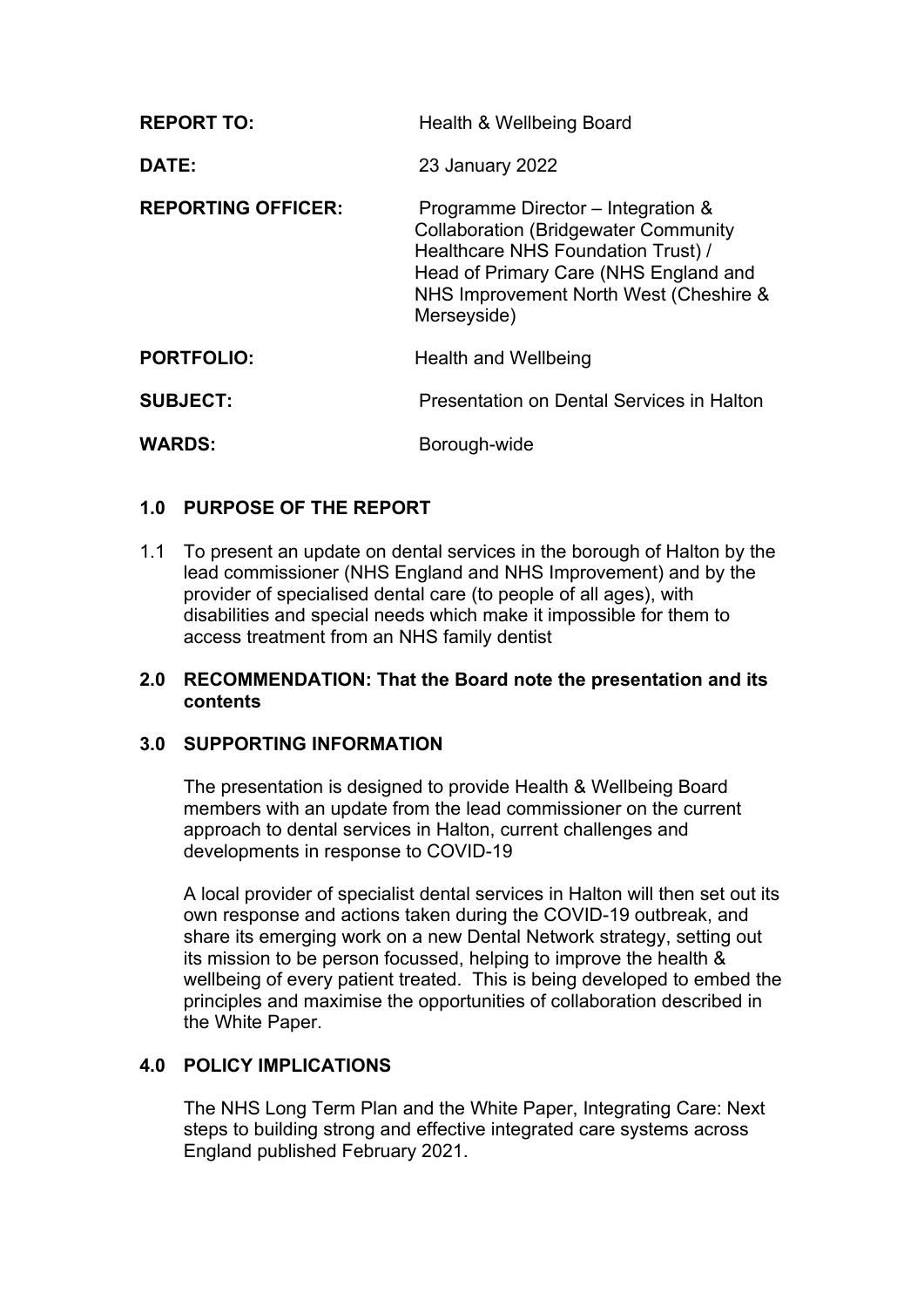| <b>REPORT TO:</b>         | Health & Wellbeing Board                                                                                                                                                                                                  |
|---------------------------|---------------------------------------------------------------------------------------------------------------------------------------------------------------------------------------------------------------------------|
| DATE:                     | 23 January 2022                                                                                                                                                                                                           |
| <b>REPORTING OFFICER:</b> | Programme Director – Integration &<br><b>Collaboration (Bridgewater Community</b><br>Healthcare NHS Foundation Trust) /<br>Head of Primary Care (NHS England and<br>NHS Improvement North West (Cheshire &<br>Merseyside) |
| <b>PORTFOLIO:</b>         | <b>Health and Wellbeing</b>                                                                                                                                                                                               |
| <b>SUBJECT:</b>           | Presentation on Dental Services in Halton                                                                                                                                                                                 |
| <b>WARDS:</b>             | Borough-wide                                                                                                                                                                                                              |

# **1.0 PURPOSE OF THE REPORT**

1.1 To present an update on dental services in the borough of Halton by the lead commissioner (NHS England and NHS Improvement) and by the provider of specialised dental care (to people of all ages), with disabilities and special needs which make it impossible for them to access treatment from an NHS family dentist

#### **2.0 RECOMMENDATION: That the Board note the presentation and its contents**

### **3.0 SUPPORTING INFORMATION**

The presentation is designed to provide Health & Wellbeing Board members with an update from the lead commissioner on the current approach to dental services in Halton, current challenges and developments in response to COVID-19

A local provider of specialist dental services in Halton will then set out its own response and actions taken during the COVID-19 outbreak, and share its emerging work on a new Dental Network strategy, setting out its mission to be person focussed, helping to improve the health & wellbeing of every patient treated. This is being developed to embed the principles and maximise the opportunities of collaboration described in the White Paper.

## **4.0 POLICY IMPLICATIONS**

The NHS Long Term Plan and the White Paper, Integrating Care: Next steps to building strong and effective integrated care systems across England published February 2021.